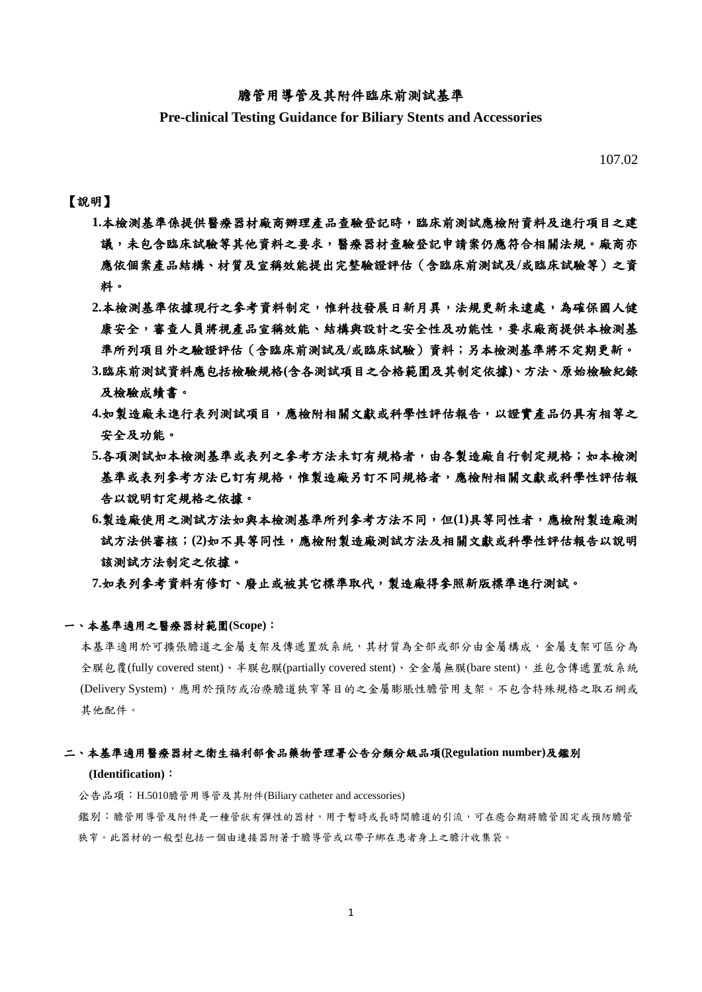## 膽管用導管及其附件臨床前測試基準

**Pre-clinical Testing Guidance for Biliary Stents and Accessories**

107.02

## 【說明】

- 1.本檢測基準係提供醫療器材廠商辦理產品查驗登記時,臨床前測試應檢附資料及進行項目之建 議,未包含臨床試驗等其他資料之要求,醫療器材查驗登記申請案仍應符合相關法規。廠商亦 應依個案產品結構、材質及宣稱效能提出完整驗證評估(含臨床前測試及**/**或臨床試驗等)之資 料。
- 2.本檢測基準依據現行之參考資料制定,惟科技發展日新月異,法規更新未逮處,為確保國人健 康安全,審查人員將視產品宣稱效能、結構與設計之安全性及功能性,要求廠商提供本檢測基 準所列項目外之驗證評估(含臨床前測試及**/**或臨床試驗)資料;另本檢測基準將不定期更新。
- **3.**臨床前測試資料應包括檢驗規格**(**含各測試項目之合格範圍及其制定依據**)**、方法、原始檢驗紀錄 及檢驗成績書。
- **4.**如製造廠未進行表列測試項目,應檢附相關文獻或科學性評估報告,以證實產品仍具有相等之 安全及功能。
- 5.各項測試如本檢測基準或表列之參考方法未訂有規格者,由各製造廠自行制定規格;如本檢測 基準或表列參考方法已訂有規格,惟製造廠另訂不同規格者,應檢附相關文獻或科學性評估報 告以說明訂定規格之依據。
- **6.**製造廠使用之測試方法如與本檢測基準所列參考方法不同,但**(1)**具等同性者,應檢附製造廠測 試方法供審核;**(2)**如不具等同性,應檢附製造廠測試方法及相關文獻或科學性評估報告以說明 該測試方法制定之依據。

**7.**如表列參考資料有修訂、廢止或被其它標準取代,製造廠得參照新版標準進行測試。

#### 一、本基準適用之醫療器材範圍**(Scope)**:

本基準適用於可擴張膽道之金屬支架及傳遞置放系統,其材質為全部或部分由金屬構成,金屬支架可區分為 全膜包覆(fully covered stent)、半膜包膜(partially covered stent)、全金屬無膜(bare stent),並包含傳遞置放系統 (Delivery System),應用於預防或治療膽道狹窄等目的之金屬膨脹性膽管用支架。不包含特殊規格之取石網或 其他配件。

#### 二、本基準適用醫療器材之衛生福利部食品藥物管理署公告分類分級品項**(**R**egulation number)**及鑑別

#### **(Identification)**:

公告品項:H.5010膽管用導管及其附件(Biliary catheter and accessories) 鑑別:膽管用導管及附件是一種管狀有彈性的器材,用于暫時或長時間膽道的引流,可在癒合期將膽管固定或預防膽管 狹窄。此器材的一般型包括一個由連接器附著于膽導管或以帶子綁在患者身上之膽汁收集袋。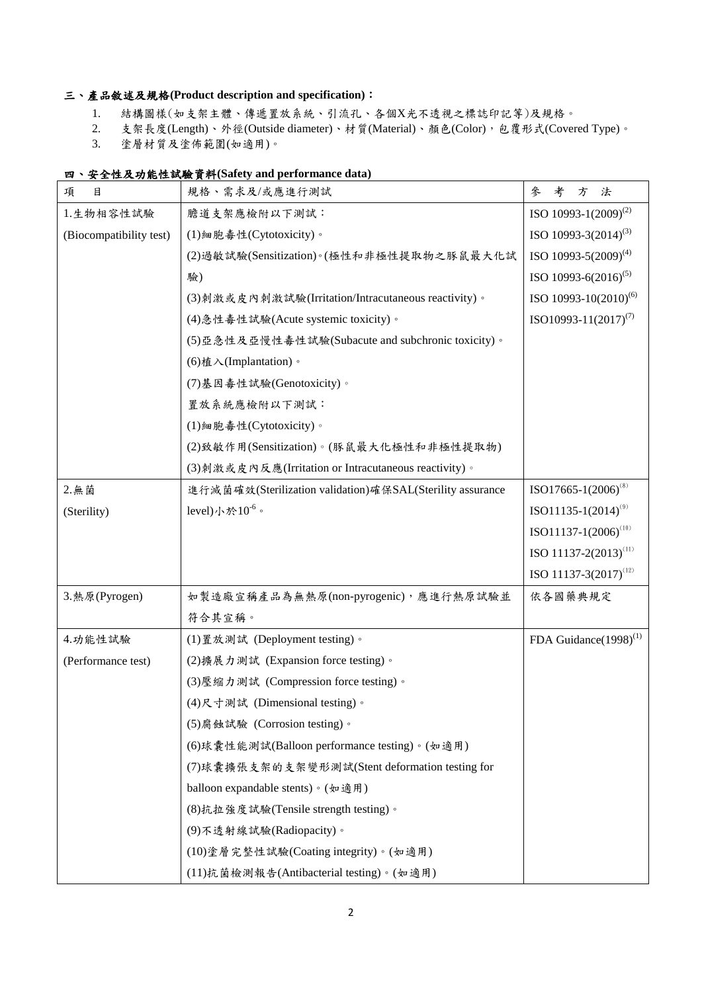# 三、產品敘述及規格**(Product description and specification)**:

- 1. 結構圖樣(如支架主體、傳遞置放系統、引流孔、各個X光不透視之標誌印記等)及規格。
- 2. 支架長度(Length)、外徑(Outside diameter)、材質(Material)、顏色(Color),包覆形式(Covered Type)。

3. 塗層材質及塗佈範圍(如適用)。

## 四、安全性及功能性試驗資料**(Safety and performance data)**

| 目<br>項                  | 規格、需求及/或應進行測試                                             | 參<br>考<br>方<br>法                  |
|-------------------------|-----------------------------------------------------------|-----------------------------------|
| 1.生物相容性試驗               | 膽道支架應檢附以下測試:                                              | ISO 10993-1(2009) <sup>(2)</sup>  |
| (Biocompatibility test) | (1)細胞毒性(Cytotoxicity)。                                    | ISO 10993-3 $(2014)^{(3)}$        |
|                         | (2) 過敏試驗(Sensitization)。(極性和非極性提取物之豚鼠最大化試                 | ISO 10993-5(2009) <sup>(4)</sup>  |
|                         | 驗)                                                        | ISO 10993-6 $(2016)^{(5)}$        |
|                         | (3)刺激或皮内刺激試驗(Irritation/Intracutaneous reactivity)。       | ISO 10993-10 $(2010)^{(6)}$       |
|                         | (4) 急性毒性試驗(Acute systemic toxicity)。                      | ISO10993-11 $(2017)^{(7)}$        |
|                         | (5)亞急性及亞慢性毒性試驗(Subacute and subchronic toxicity)。         |                                   |
|                         | (6) 植入(Implantation)。                                     |                                   |
|                         | (7)基因毒性試驗(Genotoxicity)。                                  |                                   |
|                         | 置放系統應檢附以下測試:                                              |                                   |
|                         | (1)細胞毒性(Cytotoxicity)。                                    |                                   |
|                         | (2)致敏作用(Sensitization)。(豚鼠最大化極性和非極性提取物)                   |                                   |
|                         | (3) 刺激或皮内反應(Irritation or Intracutaneous reactivity)。     |                                   |
| 2. 無菌                   | 進行滅菌確效(Sterilization validation)確保SAL(Sterility assurance | $ISO17665-1(2006)^{(8)}$          |
| (Sterility)             | level)小於 $10^{-6}$ 。                                      | $ISO11135-1(2014)^{(9)}$          |
|                         |                                                           | $ISO11137-1(2006)^{(10)}$         |
|                         |                                                           | ISO 11137-2(2013) <sup>(11)</sup> |
|                         |                                                           | ISO 11137-3 $(2017)^{(12)}$       |
| 3. 熱原(Pyrogen)          | 如製造廠宣稱產品為無熱原(non-pyrogenic),應進行熱原試驗並                      | 依各國藥典規定                           |
|                         | 符合其宣稱。                                                    |                                   |
| 4.功能性試驗                 | (1) 置放測試 (Deployment testing)。                            | FDA Guidance $(1998)^{(1)}$       |
| (Performance test)      | (2) 擴展力測試 (Expansion force testing)。                      |                                   |
|                         | (3) 壓縮力測試 (Compression force testing)。                    |                                   |
|                         | (4)尺寸測試 (Dimensional testing)。                            |                                   |
|                         | (5)腐蝕試驗 (Corrosion testing)。                              |                                   |
|                         | (6)球囊性能測試(Balloon performance testing)。(如適用)              |                                   |
|                         | (7)球囊擴張支架的支架變形測試(Stent deformation testing for            |                                   |
|                         | balloon expandable stents)。(如適用)                          |                                   |
|                         | (8)抗拉強度試驗(Tensile strength testing)。                      |                                   |
|                         | (9)不透射線試驗(Radiopacity)。                                   |                                   |
|                         | (10)塗層完整性試驗(Coating integrity)。(如適用)                      |                                   |
|                         | (11)抗菌檢測報告(Antibacterial testing)。(如適用)                   |                                   |